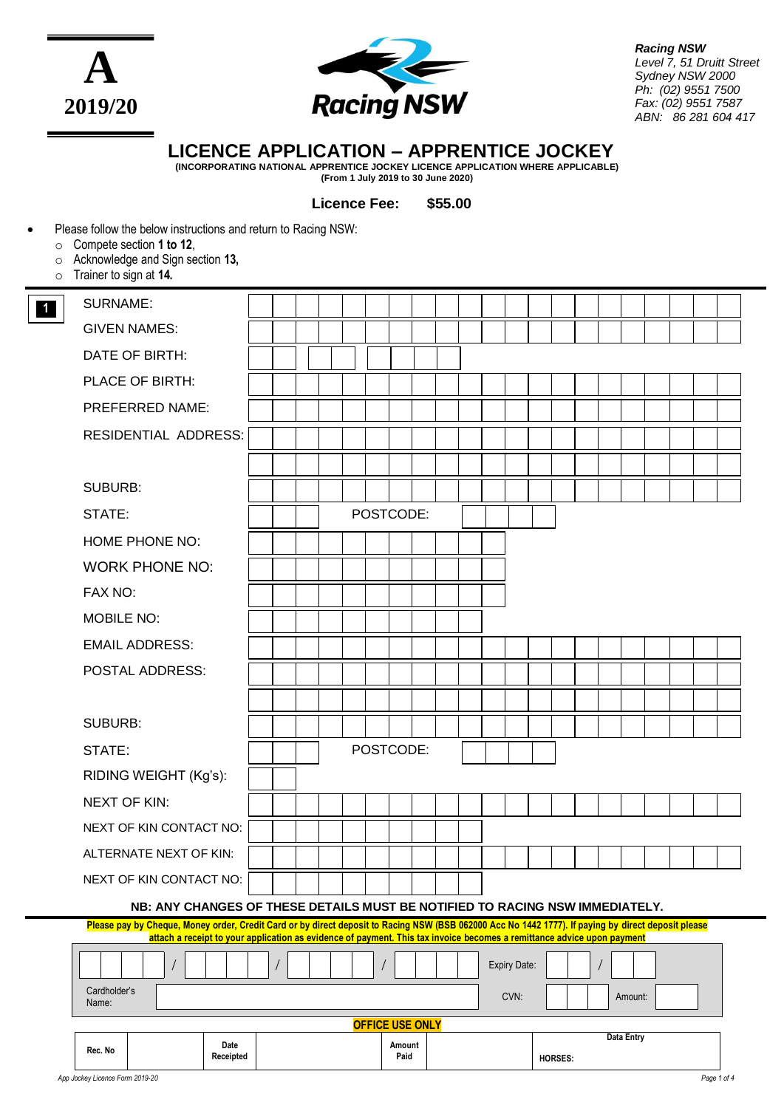



*Racing NSW Level 7, 51 Druitt Street Sydney NSW 2000 Ph: (02) 9551 7500 Fax: (02) 9551 7587 ABN: 86 281 604 417*

# **LICENCE APPLICATION – APPRENTICE JOCKEY**

**(INCORPORATING NATIONAL APPRENTICE JOCKEY LICENCE APPLICATION WHERE APPLICABLE) (From 1 July 2019 to 30 June 2020)**

**Licence Fee: \$55.00**

# Please follow the below instructions and return to Racing NSW:

- o Compete section **1 to 12**,
- o Acknowledge and Sign section **13,**
- o Trainer to sign at **14.**

| $\overline{1}$ | <b>SURNAME:</b>                                                                                                                                                                                                                                                               |  |  |  |  |  |           |                |  |  |  |              |         |  |         |  |  |  |
|----------------|-------------------------------------------------------------------------------------------------------------------------------------------------------------------------------------------------------------------------------------------------------------------------------|--|--|--|--|--|-----------|----------------|--|--|--|--------------|---------|--|---------|--|--|--|
|                | <b>GIVEN NAMES:</b>                                                                                                                                                                                                                                                           |  |  |  |  |  |           |                |  |  |  |              |         |  |         |  |  |  |
|                | DATE OF BIRTH:                                                                                                                                                                                                                                                                |  |  |  |  |  |           |                |  |  |  |              |         |  |         |  |  |  |
|                | PLACE OF BIRTH:                                                                                                                                                                                                                                                               |  |  |  |  |  |           |                |  |  |  |              |         |  |         |  |  |  |
|                | PREFERRED NAME:                                                                                                                                                                                                                                                               |  |  |  |  |  |           |                |  |  |  |              |         |  |         |  |  |  |
|                | <b>RESIDENTIAL ADDRESS:</b>                                                                                                                                                                                                                                                   |  |  |  |  |  |           |                |  |  |  |              |         |  |         |  |  |  |
|                |                                                                                                                                                                                                                                                                               |  |  |  |  |  |           |                |  |  |  |              |         |  |         |  |  |  |
|                | <b>SUBURB:</b>                                                                                                                                                                                                                                                                |  |  |  |  |  |           |                |  |  |  |              |         |  |         |  |  |  |
|                | STATE:                                                                                                                                                                                                                                                                        |  |  |  |  |  | POSTCODE: |                |  |  |  |              |         |  |         |  |  |  |
|                | HOME PHONE NO:                                                                                                                                                                                                                                                                |  |  |  |  |  |           |                |  |  |  |              |         |  |         |  |  |  |
|                | <b>WORK PHONE NO:</b>                                                                                                                                                                                                                                                         |  |  |  |  |  |           |                |  |  |  |              |         |  |         |  |  |  |
|                | FAX NO:                                                                                                                                                                                                                                                                       |  |  |  |  |  |           |                |  |  |  |              |         |  |         |  |  |  |
|                | <b>MOBILE NO:</b>                                                                                                                                                                                                                                                             |  |  |  |  |  |           |                |  |  |  |              |         |  |         |  |  |  |
|                | <b>EMAIL ADDRESS:</b>                                                                                                                                                                                                                                                         |  |  |  |  |  |           |                |  |  |  |              |         |  |         |  |  |  |
|                | POSTAL ADDRESS:                                                                                                                                                                                                                                                               |  |  |  |  |  |           |                |  |  |  |              |         |  |         |  |  |  |
|                |                                                                                                                                                                                                                                                                               |  |  |  |  |  |           |                |  |  |  |              |         |  |         |  |  |  |
|                | <b>SUBURB:</b>                                                                                                                                                                                                                                                                |  |  |  |  |  |           |                |  |  |  |              |         |  |         |  |  |  |
|                | STATE:                                                                                                                                                                                                                                                                        |  |  |  |  |  | POSTCODE: |                |  |  |  |              |         |  |         |  |  |  |
|                | RIDING WEIGHT (Kg's):                                                                                                                                                                                                                                                         |  |  |  |  |  |           |                |  |  |  |              |         |  |         |  |  |  |
|                | <b>NEXT OF KIN:</b>                                                                                                                                                                                                                                                           |  |  |  |  |  |           |                |  |  |  |              |         |  |         |  |  |  |
|                | NEXT OF KIN CONTACT NO:                                                                                                                                                                                                                                                       |  |  |  |  |  |           |                |  |  |  |              |         |  |         |  |  |  |
|                | ALTERNATE NEXT OF KIN:                                                                                                                                                                                                                                                        |  |  |  |  |  |           |                |  |  |  |              |         |  |         |  |  |  |
|                | NEXT OF KIN CONTACT NO:                                                                                                                                                                                                                                                       |  |  |  |  |  |           |                |  |  |  |              |         |  |         |  |  |  |
|                | NB: ANY CHANGES OF THESE DETAILS MUST BE NOTIFIED TO RACING NSW IMMEDIATELY.                                                                                                                                                                                                  |  |  |  |  |  |           |                |  |  |  |              |         |  |         |  |  |  |
|                | Please pay by Cheque, Money order, Credit Card or by direct deposit to Racing NSW (BSB 062000 Acc No 1442 1777). If paying by direct deposit please<br>attach a receipt to your application as evidence of payment. This tax invoice becomes a remittance advice upon payment |  |  |  |  |  |           |                |  |  |  |              |         |  |         |  |  |  |
|                |                                                                                                                                                                                                                                                                               |  |  |  |  |  |           |                |  |  |  | Expiry Date: |         |  |         |  |  |  |
|                | Cardholder's<br>Name:                                                                                                                                                                                                                                                         |  |  |  |  |  |           |                |  |  |  | CVN:         |         |  | Amount: |  |  |  |
|                | <b>OFFICE USE ONLY</b><br>Data Entry                                                                                                                                                                                                                                          |  |  |  |  |  |           |                |  |  |  |              |         |  |         |  |  |  |
|                | Date<br>Rec. No<br>Receipted                                                                                                                                                                                                                                                  |  |  |  |  |  |           | Amount<br>Paid |  |  |  |              | HORSES: |  |         |  |  |  |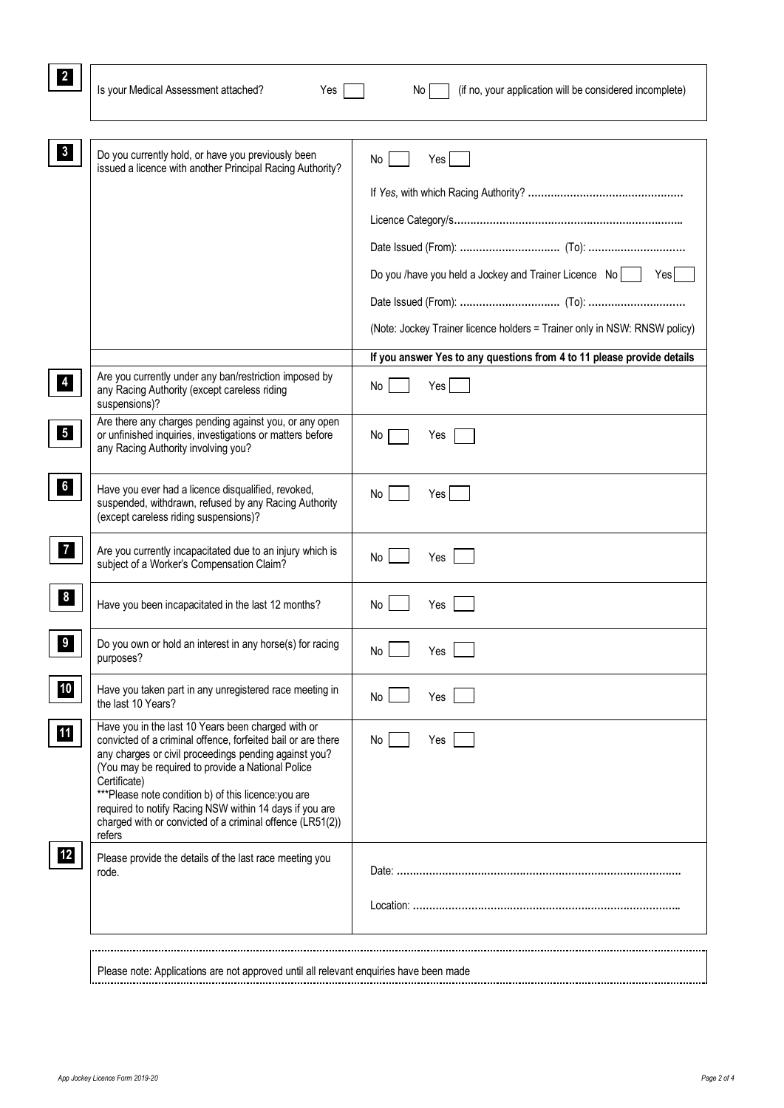| Is your Medical Assessment attached?<br>Yes                                                                                                                                                                                                                                                                                                                                                                                                | (if no, your application will be considered incomplete)<br>No.              |
|--------------------------------------------------------------------------------------------------------------------------------------------------------------------------------------------------------------------------------------------------------------------------------------------------------------------------------------------------------------------------------------------------------------------------------------------|-----------------------------------------------------------------------------|
| Do you currently hold, or have you previously been                                                                                                                                                                                                                                                                                                                                                                                         |                                                                             |
| issued a licence with another Principal Racing Authority?                                                                                                                                                                                                                                                                                                                                                                                  | Yes<br>No                                                                   |
|                                                                                                                                                                                                                                                                                                                                                                                                                                            |                                                                             |
|                                                                                                                                                                                                                                                                                                                                                                                                                                            |                                                                             |
|                                                                                                                                                                                                                                                                                                                                                                                                                                            |                                                                             |
|                                                                                                                                                                                                                                                                                                                                                                                                                                            | Do you /have you held a Jockey and Trainer Licence $\overline{N}$ o<br>Yesl |
|                                                                                                                                                                                                                                                                                                                                                                                                                                            |                                                                             |
|                                                                                                                                                                                                                                                                                                                                                                                                                                            | (Note: Jockey Trainer licence holders = Trainer only in NSW: RNSW policy)   |
|                                                                                                                                                                                                                                                                                                                                                                                                                                            | If you answer Yes to any questions from 4 to 11 please provide details      |
| Are you currently under any ban/restriction imposed by<br>any Racing Authority (except careless riding<br>suspensions)?                                                                                                                                                                                                                                                                                                                    | No<br>Yes                                                                   |
| Are there any charges pending against you, or any open<br>or unfinished inquiries, investigations or matters before<br>any Racing Authority involving you?                                                                                                                                                                                                                                                                                 | No<br>Yes                                                                   |
| Have you ever had a licence disqualified, revoked,<br>suspended, withdrawn, refused by any Racing Authority<br>(except careless riding suspensions)?                                                                                                                                                                                                                                                                                       | Yes<br>No                                                                   |
| Are you currently incapacitated due to an injury which is<br>subject of a Worker's Compensation Claim?                                                                                                                                                                                                                                                                                                                                     | Yes<br>No                                                                   |
| Have you been incapacitated in the last 12 months?                                                                                                                                                                                                                                                                                                                                                                                         | No<br>Yes                                                                   |
| Do you own or hold an interest in any horse(s) for racing<br>purposes?                                                                                                                                                                                                                                                                                                                                                                     | Yes<br>No <sub>1</sub>                                                      |
| Have you taken part in any unregistered race meeting in<br>the last 10 Years?                                                                                                                                                                                                                                                                                                                                                              | No<br>Yes                                                                   |
| Have you in the last 10 Years been charged with or<br>convicted of a criminal offence, forfeited bail or are there<br>any charges or civil proceedings pending against you?<br>(You may be required to provide a National Police<br>Certificate)<br>***Please note condition b) of this licence: you are<br>required to notify Racing NSW within 14 days if you are<br>charged with or convicted of a criminal offence (LR51(2))<br>refers | No<br>Yes                                                                   |
| Please provide the details of the last race meeting you<br>rode.                                                                                                                                                                                                                                                                                                                                                                           |                                                                             |
|                                                                                                                                                                                                                                                                                                                                                                                                                                            |                                                                             |
|                                                                                                                                                                                                                                                                                                                                                                                                                                            |                                                                             |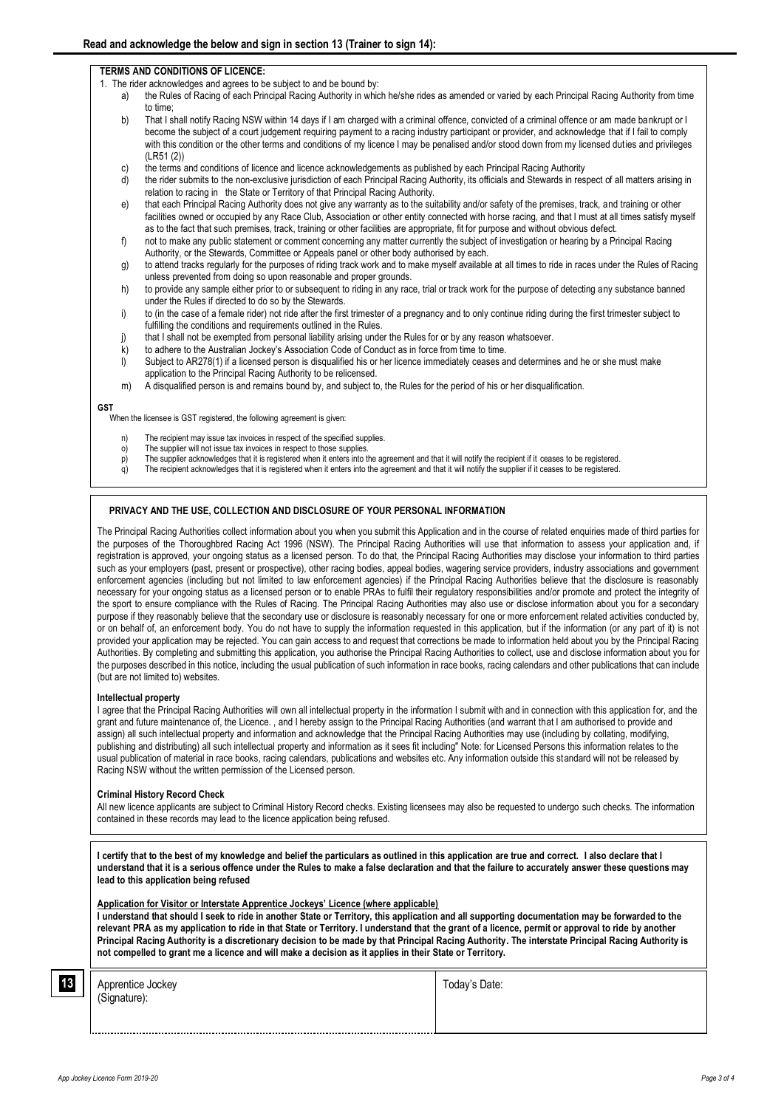## **TERMS AND CONDITIONS OF LICENCE:**

- 1. The rider acknowledges and agrees to be subject to and be bound by:
	- a) the Rules of Racing of each Principal Racing Authority in which he/she rides as amended or varied by each Principal Racing Authority from time to time;
	- b) That I shall notify Racing NSW within 14 days if I am charged with a criminal offence, convicted of a criminal offence or am made bankrupt or I become the subject of a court judgement requiring payment to a racing industry participant or provider, and acknowledge that if I fail to comply with this condition or the other terms and conditions of my licence I may be penalised and/or stood down from my licensed duties and privileges (LR51 (2))
	- c) the terms and conditions of licence and licence acknowledgements as published by each Principal Racing Authority
	- d) the rider submits to the non-exclusive jurisdiction of each Principal Racing Authority, its officials and Stewards in respect of all matters arising in relation to racing in the State or Territory of that Principal Racing Authority.
	- e) that each Principal Racing Authority does not give any warranty as to the suitability and/or safety of the premises, track, and training or other facilities owned or occupied by any Race Club, Association or other entity connected with horse racing, and that I must at all times satisfy myself as to the fact that such premises, track, training or other facilities are appropriate, fit for purpose and without obvious defect.
	- f) not to make any public statement or comment concerning any matter currently the subject of investigation or hearing by a Principal Racing Authority, or the Stewards, Committee or Appeals panel or other body authorised by each.
	- g) to attend tracks regularly for the purposes of riding track work and to make myself available at all times to ride in races under the Rules of Racing unless prevented from doing so upon reasonable and proper grounds.
	- h) to provide any sample either prior to or subsequent to riding in any race, trial or track work for the purpose of detecting any substance banned under the Rules if directed to do so by the Stewards.
	- i) to (in the case of a female rider) not ride after the first trimester of a pregnancy and to only continue riding during the first trimester subject to fulfilling the conditions and requirements outlined in the Rules.
	- j) that I shall not be exempted from personal liability arising under the Rules for or by any reason whatsoever.
	- k) to adhere to the Australian Jockey's Association Code of Conduct as in force from time to time.
	- l) Subject to AR278(1) if a licensed person is disqualified his or her licence immediately ceases and determines and he or she must make application to the Principal Racing Authority to be relicensed.
	- m) A disqualified person is and remains bound by, and subject to, the Rules for the period of his or her disqualification.

### **GST**

When the licensee is GST registered, the following agreement is given:

- The recipient may issue tax invoices in respect of the specified supplies.
- o) The supplier will not issue tax invoices in respect to those supplies.
- p) The supplier acknowledges that it is registered when it enters into the agreement and that it will notify the recipient if it ceases to be registered. q) The recipient acknowledges that it is registered when it enters into the agreement and that it will notify the supplier if it ceases to be registered.

# **PRIVACY AND THE USE, COLLECTION AND DISCLOSURE OF YOUR PERSONAL INFORMATION**

The Principal Racing Authorities collect information about you when you submit this Application and in the course of related enquiries made of third parties for the purposes of the Thoroughbred Racing Act 1996 (NSW). The Principal Racing Authorities will use that information to assess your application and, if registration is approved, your ongoing status as a licensed person. To do that, the Principal Racing Authorities may disclose your information to third parties such as your employers (past, present or prospective), other racing bodies, appeal bodies, wagering service providers, industry associations and government enforcement agencies (including but not limited to law enforcement agencies) if the Principal Racing Authorities believe that the disclosure is reasonably necessary for your ongoing status as a licensed person or to enable PRAs to fulfil their regulatory responsibilities and/or promote and protect the integrity of the sport to ensure compliance with the Rules of Racing. The Principal Racing Authorities may also use or disclose information about you for a secondary purpose if they reasonably believe that the secondary use or disclosure is reasonably necessary for one or more enforcement related activities conducted by, or on behalf of, an enforcement body. You do not have to supply the information requested in this application, but if the information (or any part of it) is not provided your application may be rejected. You can gain access to and request that corrections be made to information held about you by the Principal Racing Authorities. By completing and submitting this application, you authorise the Principal Racing Authorities to collect, use and disclose information about you for the purposes described in this notice, including the usual publication of such information in race books, racing calendars and other publications that can include (but are not limited to) websites.

## **Intellectual property**

I agree that the Principal Racing Authorities will own all intellectual property in the information I submit with and in connection with this application for, and the grant and future maintenance of, the Licence. , and I hereby assign to the Principal Racing Authorities (and warrant that I am authorised to provide and assign) all such intellectual property and information and acknowledge that the Principal Racing Authorities may use (including by collating, modifying, publishing and distributing) all such intellectual property and information as it sees fit including" Note: for Licensed Persons this information relates to the usual publication of material in race books, racing calendars, publications and websites etc. Any information outside this standard will not be released by Racing NSW without the written permission of the Licensed person.

#### **Criminal History Record Check**

All new licence applicants are subject to Criminal History Record checks. Existing licensees may also be requested to undergo such checks. The information contained in these records may lead to the licence application being refused.

**I certify that to the best of my knowledge and belief the particulars as outlined in this application are true and correct. I also declare that I understand that it is a serious offence under the Rules to make a false declaration and that the failure to accurately answer these questions may lead to this application being refused**

### **Application for Visitor or Interstate Apprentice Jockeys' Licence (where applicable)**

**I understand that should I seek to ride in another State or Territory, this application and all supporting documentation may be forwarded to the relevant PRA as my application to ride in that State or Territory. I understand that the grant of a licence, permit or approval to ride by another Principal Racing Authority is a discretionary decision to be made by that Principal Racing Authority. The interstate Principal Racing Authority is not compelled to grant me a licence and will make a decision as it applies in their State or Territory.**

| 13 <sup>1</sup> | $\cdot$ .<br>Apprentice Jockey<br>(Signature): | Today's Date: |
|-----------------|------------------------------------------------|---------------|
|                 |                                                |               |